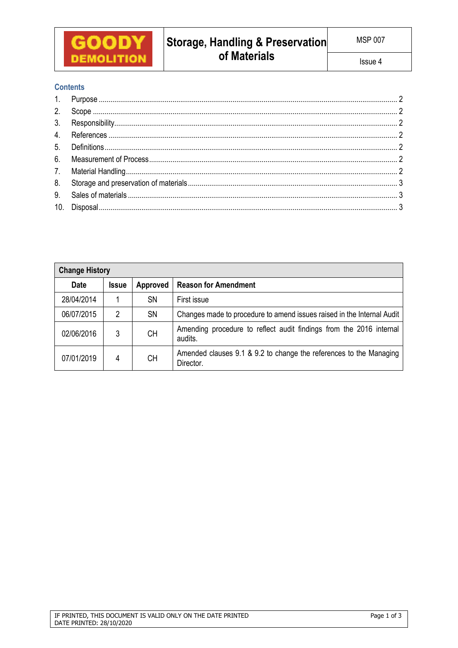

# **Contents**

| <b>Change History</b> |              |                 |                                                                                 |  |  |  |
|-----------------------|--------------|-----------------|---------------------------------------------------------------------------------|--|--|--|
| <b>Date</b>           | <b>Issue</b> | <b>Approved</b> | <b>Reason for Amendment</b>                                                     |  |  |  |
| 28/04/2014            |              | <b>SN</b>       | First issue                                                                     |  |  |  |
| 06/07/2015            | 2            | <b>SN</b>       | Changes made to procedure to amend issues raised in the Internal Audit          |  |  |  |
| 02/06/2016            | 3            | <b>CH</b>       | Amending procedure to reflect audit findings from the 2016 internal<br>audits.  |  |  |  |
| 07/01/2019            | 4            | <b>CH</b>       | Amended clauses 9.1 & 9.2 to change the references to the Managing<br>Director. |  |  |  |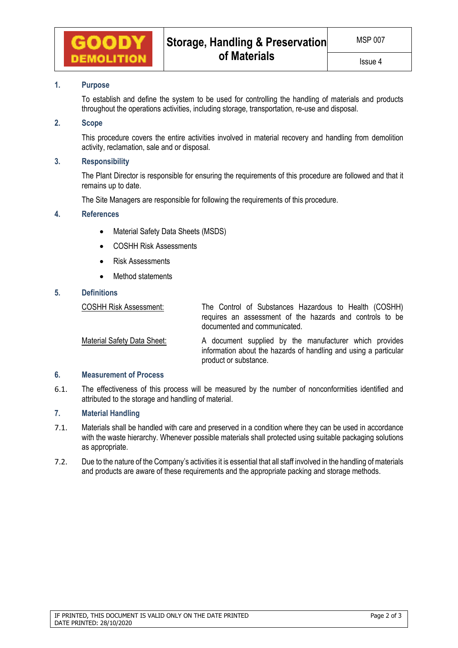

### **1. Purpose**

To establish and define the system to be used for controlling the handling of materials and products throughout the operations activities, including storage, transportation, re-use and disposal.

## **2. Scope**

This procedure covers the entire activities involved in material recovery and handling from demolition activity, reclamation, sale and or disposal.

### **3. Responsibility**

The Plant Director is responsible for ensuring the requirements of this procedure are followed and that it remains up to date.

The Site Managers are responsible for following the requirements of this procedure.

### **4. References**

- Material Safety Data Sheets (MSDS)
- COSHH Risk Assessments
- Risk Assessments
- Method statements

# **5. Definitions**

COSHH Risk Assessment: The Control of Substances Hazardous to Health (COSHH) requires an assessment of the hazards and controls to be documented and communicated.

Material Safety Data Sheet: A document supplied by the manufacturer which provides information about the hazards of handling and using a particular product or substance.

## **6. Measurement of Process**

6.1. The effectiveness of this process will be measured by the number of nonconformities identified and attributed to the storage and handling of material.

### **7. Material Handling**

- 7.1. Materials shall be handled with care and preserved in a condition where they can be used in accordance with the waste hierarchy. Whenever possible materials shall protected using suitable packaging solutions as appropriate.
- 7.2. Due to the nature of the Company's activities it is essential that all staff involved in the handling of materials and products are aware of these requirements and the appropriate packing and storage methods.